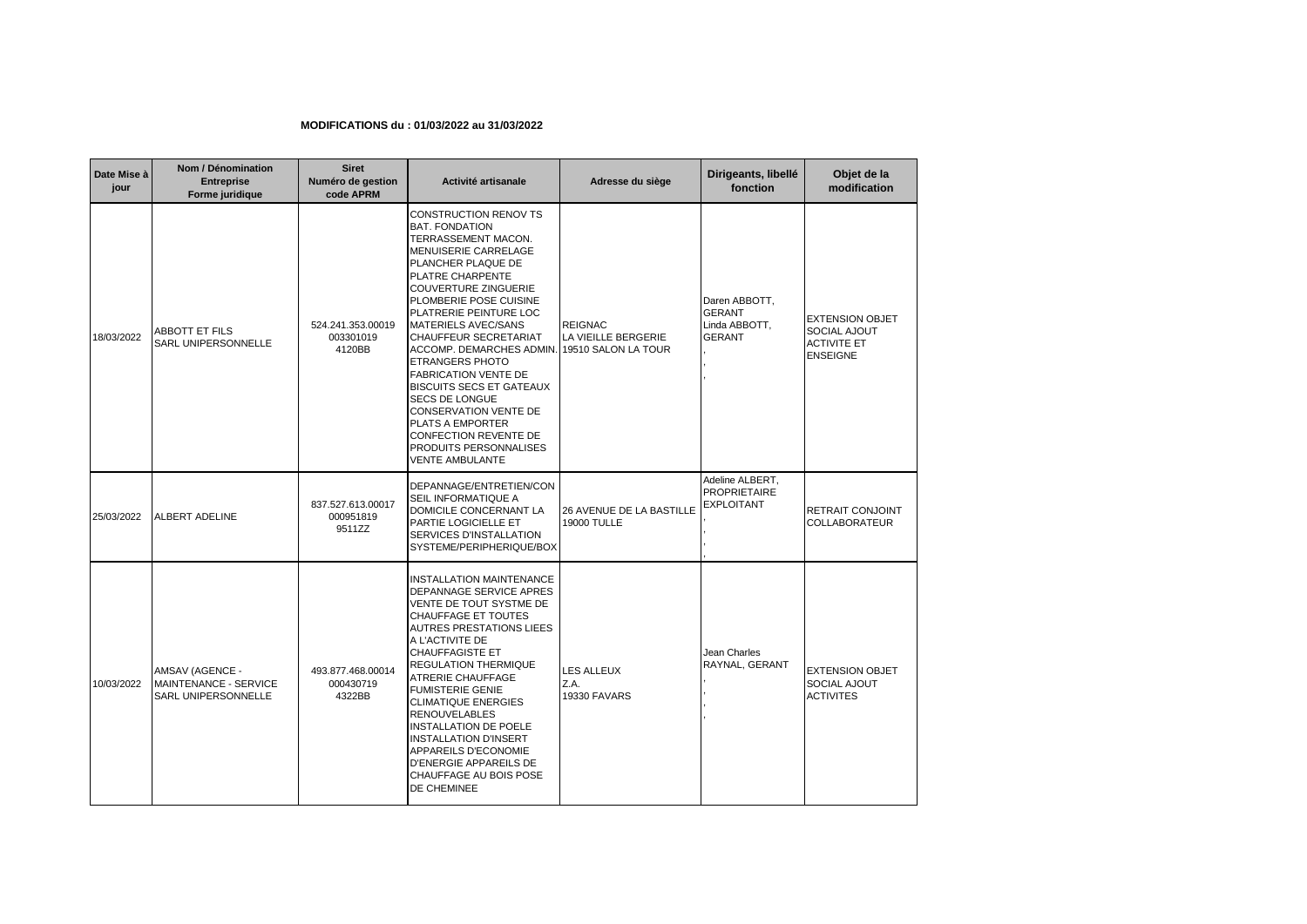## **MODIFICATIONS du : 01/03/2022 au 31/03/2022**

| Date Mise à<br>jour | Nom / Dénomination<br><b>Entreprise</b><br>Forme juridique      | <b>Siret</b><br>Numéro de gestion<br>code APRM | Activité artisanale                                                                                                                                                                                                                                                                                                                                                                                                                                                                                                                                                                                          | Adresse du siège                               | Dirigeants, libellé<br>fonction                                  | Objet de la<br>modification                                                     |
|---------------------|-----------------------------------------------------------------|------------------------------------------------|--------------------------------------------------------------------------------------------------------------------------------------------------------------------------------------------------------------------------------------------------------------------------------------------------------------------------------------------------------------------------------------------------------------------------------------------------------------------------------------------------------------------------------------------------------------------------------------------------------------|------------------------------------------------|------------------------------------------------------------------|---------------------------------------------------------------------------------|
| 18/03/2022          | <b>ABBOTT ET FILS</b><br>SARL UNIPERSONNELLE                    | 524.241.353.00019<br>003301019<br>4120BB       | <b>CONSTRUCTION RENOV TS</b><br><b>BAT. FONDATION</b><br>TERRASSEMENT MACON.<br>MENUISERIE CARRELAGE<br>PLANCHER PLAQUE DE<br>PLATRE CHARPENTE<br><b>COUVERTURE ZINGUERIE</b><br>PLOMBERIE POSE CUISINE<br>PLATRERIE PEINTURE LOC<br><b>MATERIELS AVEC/SANS</b><br><b>CHAUFFEUR SECRETARIAT</b><br>ACCOMP. DEMARCHES ADMIN. 19510 SALON LA TOUR<br><b>ETRANGERS PHOTO</b><br><b>FABRICATION VENTE DE</b><br><b>BISCUITS SECS ET GATEAUX</b><br><b>SECS DE LONGUE</b><br><b>CONSERVATION VENTE DE</b><br>PLATS A EMPORTER<br>CONFECTION REVENTE DE<br><b>PRODUITS PERSONNALISES</b><br><b>VENTE AMBULANTE</b> | <b>REIGNAC</b><br>LA VIEILLE BERGERIE          | Daren ABBOTT,<br><b>GERANT</b><br>Linda ABBOTT,<br><b>GERANT</b> | <b>EXTENSION OBJET</b><br>SOCIAL AJOUT<br><b>ACTIVITE ET</b><br><b>ENSEIGNE</b> |
| 25/03/2022          | ALBERT ADELINE                                                  | 837.527.613.00017<br>000951819<br>9511ZZ       | DEPANNAGE/ENTRETIEN/CON<br>SEIL INFORMATIQUE A<br>DOMICILE CONCERNANT LA<br>PARTIE LOGICIELLE ET<br>SERVICES D'INSTALLATION<br>SYSTEME/PERIPHERIQUE/BOX                                                                                                                                                                                                                                                                                                                                                                                                                                                      | 26 AVENUE DE LA BASTILLE<br><b>19000 TULLE</b> | Adeline ALBERT,<br><b>PROPRIETAIRE</b><br>EXPLOITANT             | RETRAIT CONJOINT<br>COLLABORATEUR                                               |
| 10/03/2022          | AMSAV (AGENCE -<br>MAINTENANCE - SERVICE<br>SARL UNIPERSONNELLE | 493.877.468.00014<br>000430719<br>4322BB       | <b>INSTALLATION MAINTENANCE</b><br>DEPANNAGE SERVICE APRES<br>VENTE DE TOUT SYSTME DE<br>CHAUFFAGE ET TOUTES<br><b>AUTRES PRESTATIONS LIEES</b><br>A L'ACTIVITE DE<br><b>CHAUFFAGISTE ET</b><br><b>REGULATION THERMIQUE</b><br><b>ATRERIE CHAUFFAGE</b><br><b>FUMISTERIE GENIE</b><br><b>CLIMATIQUE ENERGIES</b><br><b>RENOUVELABLES</b><br>INSTALLATION DE POELE<br><b>INSTALLATION D'INSERT</b><br>APPAREILS D'ECONOMIE<br>D'ENERGIE APPAREILS DE<br>CHAUFFAGE AU BOIS POSE<br>DE CHEMINEE                                                                                                                 | LES ALLEUX<br>Z.A.<br><b>19330 FAVARS</b>      | Jean Charles<br>RAYNAL, GERANT                                   | <b>EXTENSION OBJET</b><br>SOCIAL AJOUT<br><b>ACTIVITES</b>                      |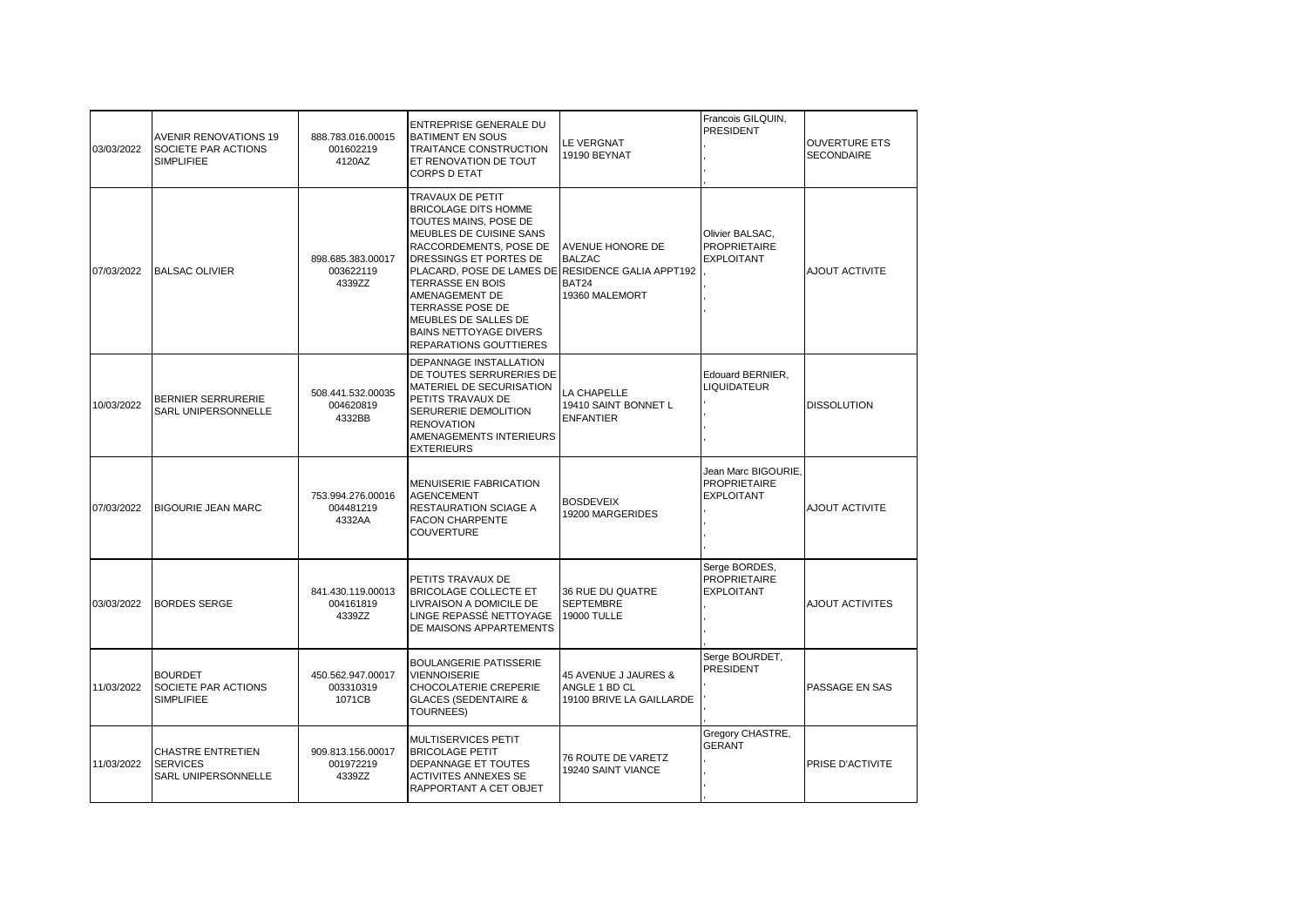| 03/03/2022 | <b>AVENIR RENOVATIONS 19</b><br>SOCIETE PAR ACTIONS<br><b>SIMPLIFIEE</b> | 888.783.016.00015<br>001602219<br>4120AZ | <b>ENTREPRISE GENERALE DU</b><br><b>BATIMENT EN SOUS</b><br>TRAITANCE CONSTRUCTION<br>ET RENOVATION DE TOUT<br><b>CORPS D ETAT</b>                                                                                                                                                                                                                        | <b>LE VERGNAT</b><br><b>19190 BEYNAT</b>                          | Francois GILQUIN,<br><b>PRESIDENT</b>                           | <b>OUVERTURE ETS</b><br><b>SECONDAIRE</b> |
|------------|--------------------------------------------------------------------------|------------------------------------------|-----------------------------------------------------------------------------------------------------------------------------------------------------------------------------------------------------------------------------------------------------------------------------------------------------------------------------------------------------------|-------------------------------------------------------------------|-----------------------------------------------------------------|-------------------------------------------|
| 07/03/2022 | <b>BALSAC OLIVIER</b>                                                    | 898.685.383.00017<br>003622119<br>4339ZZ | TRAVAUX DE PETIT<br><b>BRICOLAGE DITS HOMME</b><br>TOUTES MAINS, POSE DE<br>MEUBLES DE CUISINE SANS<br>RACCORDEMENTS, POSE DE<br>DRESSINGS ET PORTES DE<br>PLACARD, POSE DE LAMES DE RESIDENCE GALIA APPT192<br>TERRASSE EN BOIS<br>AMENAGEMENT DE<br>TERRASSE POSE DE<br>MEUBLES DE SALLES DE<br><b>BAINS NETTOYAGE DIVERS</b><br>REPARATIONS GOUTTIERES | AVENUE HONORE DE<br><b>BALZAC</b><br>BAT24<br>19360 MALEMORT      | Olivier BALSAC,<br><b>PROPRIETAIRE</b><br><b>EXPLOITANT</b>     | AJOUT ACTIVITE                            |
| 10/03/2022 | BERNIER SERRURERIE<br>SARL UNIPERSONNELLE                                | 508.441.532.00035<br>004620819<br>4332BB | DEPANNAGE INSTALLATION<br>DE TOUTES SERRURERIES DE<br>MATERIEL DE SECURISATION<br>PETITS TRAVAUX DE<br>SERURERIE DEMOLITION<br><b>RENOVATION</b><br>AMENAGEMENTS INTERIEURS<br><b>EXTERIEURS</b>                                                                                                                                                          | LA CHAPELLE<br>19410 SAINT BONNET L<br><b>ENFANTIER</b>           | Edouard BERNIER,<br><b>LIQUIDATEUR</b>                          | <b>DISSOLUTION</b>                        |
| 07/03/2022 | <b>BIGOURIE JEAN MARC</b>                                                | 753.994.276.00016<br>004481219<br>4332AA | MENUISERIE FABRICATION<br><b>AGENCEMENT</b><br>RESTAURATION SCIAGE A<br><b>FACON CHARPENTE</b><br><b>COUVERTURE</b>                                                                                                                                                                                                                                       | <b>BOSDEVEIX</b><br>19200 MARGERIDES                              | Jean Marc BIGOURIE,<br><b>PROPRIETAIRE</b><br><b>EXPLOITANT</b> | AJOUT ACTIVITE                            |
| 03/03/2022 | <b>BORDES SERGE</b>                                                      | 841.430.119.00013<br>004161819<br>4339ZZ | PETITS TRAVAUX DE<br>BRICOLAGE COLLECTE ET<br>LIVRAISON A DOMICILE DE<br>LINGE REPASSÉ NETTOYAGE<br>DE MAISONS APPARTEMENTS                                                                                                                                                                                                                               | 36 RUE DU QUATRE<br><b>SEPTEMBRE</b><br><b>19000 TULLE</b>        | Serge BORDES,<br><b>PROPRIETAIRE</b><br><b>EXPLOITANT</b>       | AJOUT ACTIVITES                           |
| 11/03/2022 | <b>BOURDET</b><br>SOCIETE PAR ACTIONS<br><b>SIMPLIFIEE</b>               | 450.562.947.00017<br>003310319<br>1071CB | <b>BOULANGERIE PATISSERIE</b><br><b>VIENNOISERIE</b><br><b>CHOCOLATERIE CREPERIE</b><br><b>GLACES (SEDENTAIRE &amp;</b><br><b>TOURNEES)</b>                                                                                                                                                                                                               | 45 AVENUE J JAURES &<br>ANGLE 1 BD CL<br>19100 BRIVE LA GAILLARDE | Serge BOURDET,<br>PRESIDENT                                     | PASSAGE EN SAS                            |
| 11/03/2022 | CHASTRE ENTRETIEN<br><b>SERVICES</b><br>SARL UNIPERSONNELLE              | 909.813.156.00017<br>001972219<br>4339ZZ | MULTISERVICES PETIT<br><b>BRICOLAGE PETIT</b><br>DEPANNAGE ET TOUTES<br><b>ACTIVITES ANNEXES SE</b><br>RAPPORTANT A CET OBJET                                                                                                                                                                                                                             | 76 ROUTE DE VARETZ<br>19240 SAINT VIANCE                          | Gregory CHASTRE,<br><b>GERANT</b>                               | PRISE D'ACTIVITE                          |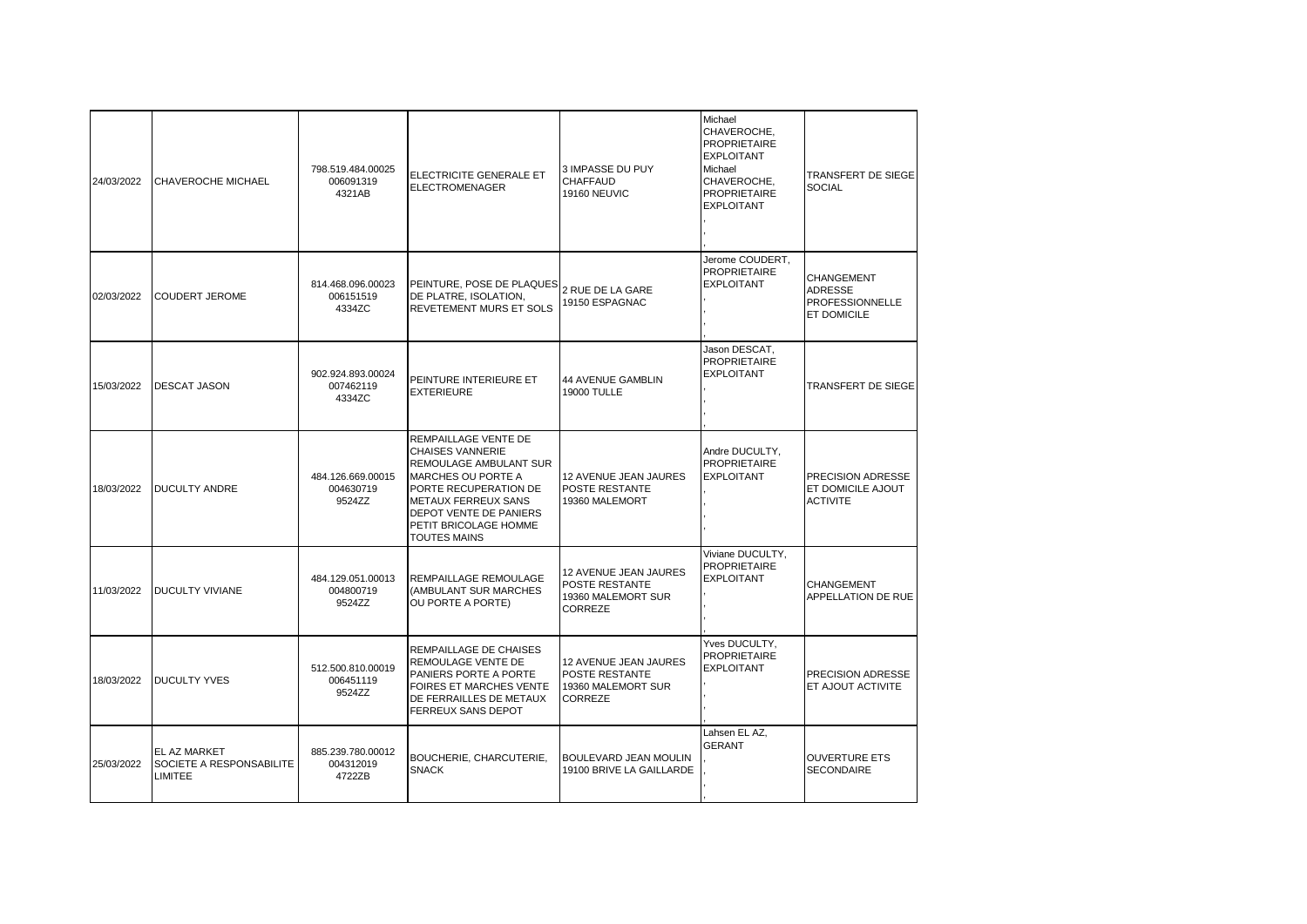| 24/03/2022 | CHAVEROCHE MICHAEL                                  | 798.519.484.00025<br>006091319<br>4321AB | ELECTRICITE GENERALE ET<br>ELECTROMENAGER                                                                                                                                                                                               | 3 IMPASSE DU PUY<br><b>CHAFFAUD</b><br>19160 NEUVIC                      | Michael<br>CHAVEROCHE,<br><b>PROPRIETAIRE</b><br><b>EXPLOITANT</b><br>Michael<br>CHAVEROCHE,<br><b>PROPRIETAIRE</b><br><b>EXPLOITANT</b> | TRANSFERT DE SIEGE<br><b>SOCIAL</b>                            |
|------------|-----------------------------------------------------|------------------------------------------|-----------------------------------------------------------------------------------------------------------------------------------------------------------------------------------------------------------------------------------------|--------------------------------------------------------------------------|------------------------------------------------------------------------------------------------------------------------------------------|----------------------------------------------------------------|
| 02/03/2022 | <b>COUDERT JEROME</b>                               | 814.468.096.00023<br>006151519<br>4334ZC | PEINTURE, POSE DE PLAQUES<br>DE PLATRE, ISOLATION,<br>REVETEMENT MURS ET SOLS                                                                                                                                                           | 2 RUE DE LA GARE<br>19150 ESPAGNAC                                       | Jerome COUDERT,<br><b>PROPRIETAIRE</b><br><b>EXPLOITANT</b>                                                                              | CHANGEMENT<br>ADRESSE<br><b>PROFESSIONNELLE</b><br>ET DOMICILE |
| 15/03/2022 | <b>DESCAT JASON</b>                                 | 902.924.893.00024<br>007462119<br>4334ZC | PEINTURE INTERIEURE ET<br><b>EXTERIEURE</b>                                                                                                                                                                                             | <b>44 AVENUE GAMBLIN</b><br><b>19000 TULLE</b>                           | Jason DESCAT,<br><b>PROPRIETAIRE</b><br><b>EXPLOITANT</b>                                                                                | TRANSFERT DE SIEGE                                             |
| 18/03/2022 | <b>DUCULTY ANDRE</b>                                | 484.126.669.00015<br>004630719<br>9524ZZ | REMPAILLAGE VENTE DE<br><b>CHAISES VANNERIE</b><br><b>REMOULAGE AMBULANT SUR</b><br><b>MARCHES OU PORTE A</b><br>PORTE RECUPERATION DE<br>METAUX FERREUX SANS<br>DEPOT VENTE DE PANIERS<br>PETIT BRICOLAGE HOMME<br><b>TOUTES MAINS</b> | 12 AVENUE JEAN JAURES<br>POSTE RESTANTE<br>19360 MALEMORT                | Andre DUCULTY,<br><b>PROPRIETAIRE</b><br><b>EXPLOITANT</b>                                                                               | PRECISION ADRESSE<br>ET DOMICILE AJOUT<br>ACTIVITE             |
| 11/03/2022 | <b>DUCULTY VIVIANE</b>                              | 484.129.051.00013<br>004800719<br>9524ZZ | REMPAILLAGE REMOULAGE<br>(AMBULANT SUR MARCHES<br>OU PORTE A PORTE)                                                                                                                                                                     | 12 AVENUE JEAN JAURES<br>POSTE RESTANTE<br>19360 MALEMORT SUR<br>CORREZE | Viviane DUCULTY,<br><b>PROPRIETAIRE</b><br><b>EXPLOITANT</b>                                                                             | CHANGEMENT<br>APPELLATION DE RUE                               |
| 18/03/2022 | <b>DUCULTY YVES</b>                                 | 512.500.810.00019<br>006451119<br>9524ZZ | REMPAILLAGE DE CHAISES<br>REMOULAGE VENTE DE<br>PANIERS PORTE A PORTE<br><b>FOIRES ET MARCHES VENTE</b><br>DE FERRAILLES DE METAUX<br>FERREUX SANS DEPOT                                                                                | 12 AVENUE JEAN JAURES<br>POSTE RESTANTE<br>19360 MALEMORT SUR<br>CORREZE | Yves DUCULTY,<br><b>PROPRIETAIRE</b><br><b>EXPLOITANT</b>                                                                                | PRECISION ADRESSE<br>ET AJOUT ACTIVITE                         |
| 25/03/2022 | EL AZ MARKET<br>SOCIETE A RESPONSABILITE<br>LIMITEE | 885.239.780.00012<br>004312019<br>4722ZB | BOUCHERIE, CHARCUTERIE,<br><b>SNACK</b>                                                                                                                                                                                                 | BOULEVARD JEAN MOULIN<br>19100 BRIVE LA GAILLARDE                        | Lahsen EL AZ,<br><b>GERANT</b>                                                                                                           | <b>OUVERTURE ETS</b><br>SECONDAIRE                             |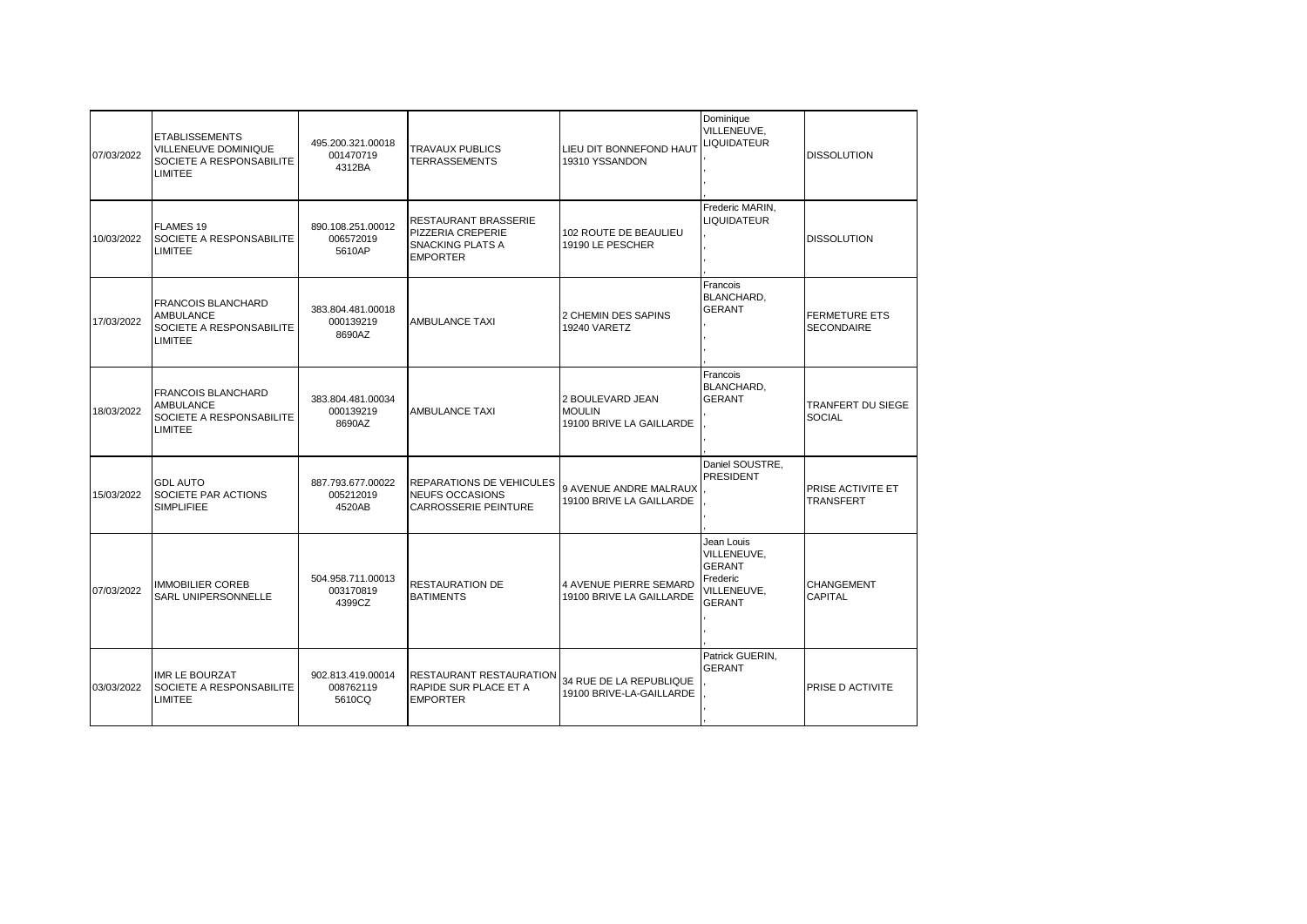| 07/03/2022 | <b>ETABLISSEMENTS</b><br>VILLENEUVE DOMINIQUE<br>SOCIETE A RESPONSABILITE<br><b>LIMITEE</b> | 495.200.321.00018<br>001470719<br>4312BA | <b>TRAVAUX PUBLICS</b><br><b>TERRASSEMENTS</b>                                                 | LIEU DIT BONNEFOND HAUT<br>19310 YSSANDON                     | Dominique<br>VILLENEUVE,<br>LIQUIDATEUR                                                | <b>DISSOLUTION</b>                        |
|------------|---------------------------------------------------------------------------------------------|------------------------------------------|------------------------------------------------------------------------------------------------|---------------------------------------------------------------|----------------------------------------------------------------------------------------|-------------------------------------------|
| 10/03/2022 | <b>FLAMES 19</b><br>SOCIETE A RESPONSABILITE<br><b>LIMITEE</b>                              | 890.108.251.00012<br>006572019<br>5610AP | <b>RESTAURANT BRASSERIE</b><br>PIZZERIA CREPERIE<br><b>SNACKING PLATS A</b><br><b>EMPORTER</b> | 102 ROUTE DE BEAULIEU<br>19190 LE PESCHER                     | Frederic MARIN,<br><b>LIQUIDATEUR</b>                                                  | <b>DISSOLUTION</b>                        |
| 17/03/2022 | <b>FRANCOIS BLANCHARD</b><br><b>AMBULANCE</b><br>SOCIETE A RESPONSABILITE<br>LIMITEE        | 383.804.481.00018<br>000139219<br>8690AZ | AMBULANCE TAXI                                                                                 | 2 CHEMIN DES SAPINS<br>19240 VARETZ                           | Francois<br>BLANCHARD,<br><b>GERANT</b>                                                | <b>FERMETURE ETS</b><br><b>SECONDAIRE</b> |
| 18/03/2022 | <b>FRANCOIS BLANCHARD</b><br>AMBULANCE<br>SOCIETE A RESPONSABILITE<br><b>LIMITEE</b>        | 383.804.481.00034<br>000139219<br>8690AZ | <b>AMBULANCE TAXI</b>                                                                          | 2 BOULEVARD JEAN<br><b>MOULIN</b><br>19100 BRIVE LA GAILLARDE | Francois<br><b>BLANCHARD,</b><br><b>GERANT</b>                                         | <b>TRANFERT DU SIEGE</b><br><b>SOCIAL</b> |
| 15/03/2022 | <b>GDL AUTO</b><br>SOCIETE PAR ACTIONS<br><b>SIMPLIFIEE</b>                                 | 887.793.677.00022<br>005212019<br>4520AB | <b>REPARATIONS DE VEHICULES</b><br><b>NEUFS OCCASIONS</b><br><b>CARROSSERIE PEINTURE</b>       | 9 AVENUE ANDRE MALRAUX<br>19100 BRIVE LA GAILLARDE            | Daniel SOUSTRE,<br><b>PRESIDENT</b>                                                    | PRISE ACTIVITE ET<br><b>TRANSFERT</b>     |
| 07/03/2022 | <b>IMMOBILIER COREB</b><br>SARL UNIPERSONNELLE                                              | 504.958.711.00013<br>003170819<br>4399CZ | <b>RESTAURATION DE</b><br><b>BATIMENTS</b>                                                     | 4 AVENUE PIERRE SEMARD<br>19100 BRIVE LA GAILLARDE            | Jean Louis<br>VILLENEUVE,<br><b>GERANT</b><br>Frederic<br>VILLENEUVE,<br><b>GERANT</b> | <b>CHANGEMENT</b><br><b>CAPITAL</b>       |
| 03/03/2022 | <b>IMR LE BOURZAT</b><br>SOCIETE A RESPONSABILITE<br><b>LIMITEE</b>                         | 902.813.419.00014<br>008762119<br>5610CQ | <b>RESTAURANT RESTAURATION</b><br><b>RAPIDE SUR PLACE ET A</b><br><b>EMPORTER</b>              | 34 RUE DE LA REPUBLIQUE<br>19100 BRIVE-LA-GAILLARDE           | Patrick GUERIN,<br><b>GERANT</b>                                                       | <b>PRISE D ACTIVITE</b>                   |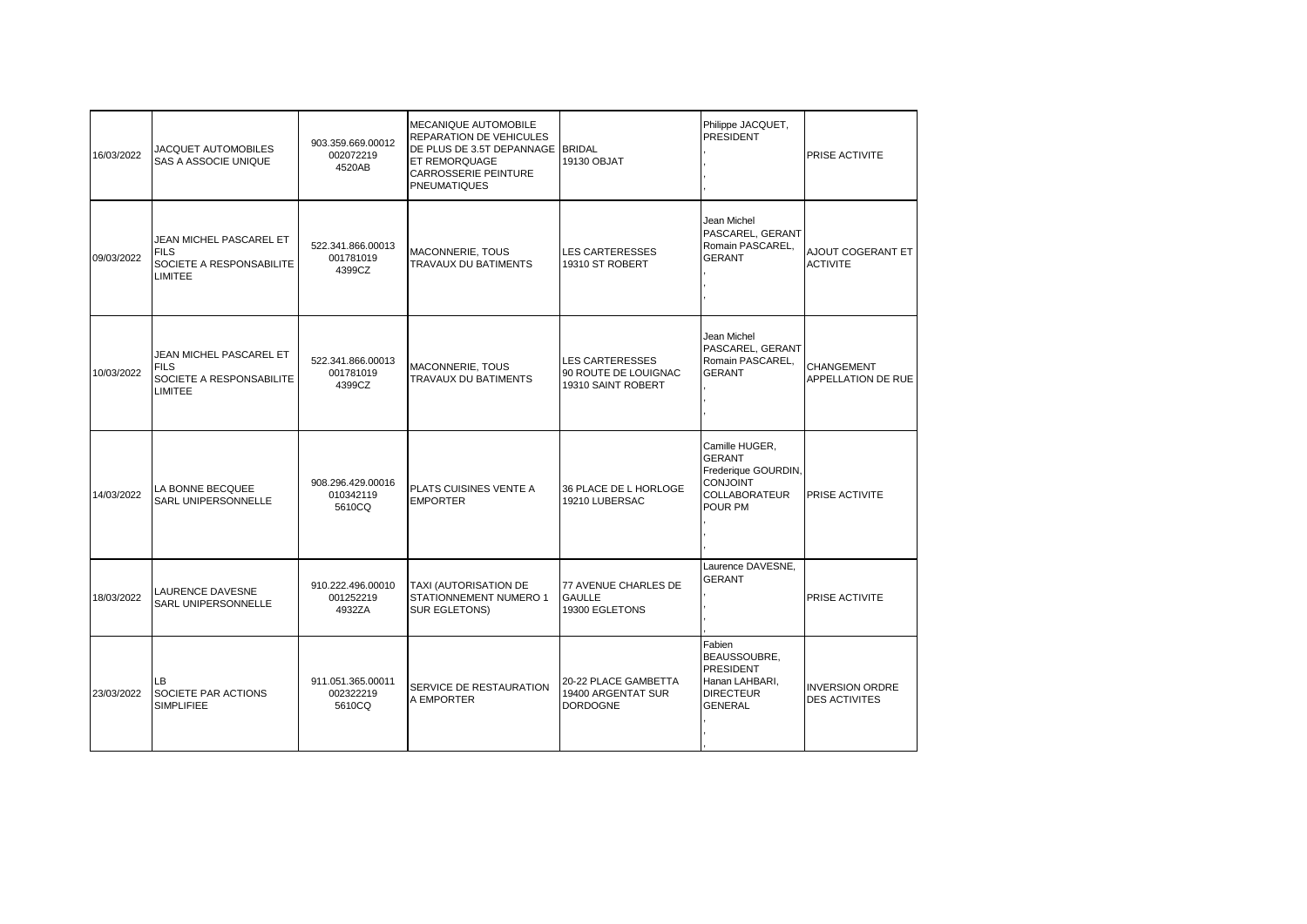| 16/03/2022 | JACQUET AUTOMOBILES<br>SAS A ASSOCIE UNIQUE                                          | 903.359.669.00012<br>002072219<br>4520AB | MECANIQUE AUTOMOBILE<br>REPARATION DE VEHICULES<br>DE PLUS DE 3.5T DEPANNAGE BRIDAL<br>ET REMORQUAGE<br><b>CARROSSERIE PEINTURE</b><br><b>PNEUMATIQUES</b> | 19130 OBJAT                                                          | Philippe JACQUET,<br><b>PRESIDENT</b>                                                                        | PRISE ACTIVITE                                 |
|------------|--------------------------------------------------------------------------------------|------------------------------------------|------------------------------------------------------------------------------------------------------------------------------------------------------------|----------------------------------------------------------------------|--------------------------------------------------------------------------------------------------------------|------------------------------------------------|
| 09/03/2022 | JEAN MICHEL PASCAREL ET<br><b>FILS</b><br>SOCIETE A RESPONSABILITE<br>LIMITEE        | 522.341.866.00013<br>001781019<br>4399CZ | MACONNERIE, TOUS<br>TRAVAUX DU BATIMENTS                                                                                                                   | <b>LES CARTERESSES</b><br>19310 ST ROBERT                            | Jean Michel<br>PASCAREL, GERANT<br>Romain PASCAREL,<br><b>GERANT</b>                                         | AJOUT COGERANT ET<br><b>ACTIVITE</b>           |
| 10/03/2022 | JEAN MICHEL PASCAREL ET<br><b>FILS</b><br>SOCIETE A RESPONSABILITE<br><b>LIMITEE</b> | 522.341.866.00013<br>001781019<br>4399CZ | MACONNERIE, TOUS<br>TRAVAUX DU BATIMENTS                                                                                                                   | <b>LES CARTERESSES</b><br>90 ROUTE DE LOUIGNAC<br>19310 SAINT ROBERT | Jean Michel<br>PASCAREL, GERANT<br>Romain PASCAREL,<br><b>GERANT</b>                                         | <b>CHANGEMENT</b><br>APPELLATION DE RUE        |
| 14/03/2022 | LA BONNE BECQUEE<br>SARL UNIPERSONNELLE                                              | 908.296.429.00016<br>010342119<br>5610CQ | PLATS CUISINES VENTE A<br><b>EMPORTER</b>                                                                                                                  | 36 PLACE DE L HORLOGE<br>19210 LUBERSAC                              | Camille HUGER,<br><b>GERANT</b><br>Frederique GOURDIN,<br><b>CONJOINT</b><br><b>COLLABORATEUR</b><br>POUR PM | <b>PRISE ACTIVITE</b>                          |
| 18/03/2022 | LAURENCE DAVESNE<br>SARL UNIPERSONNELLE                                              | 910.222.496.00010<br>001252219<br>4932ZA | TAXI (AUTORISATION DE<br>STATIONNEMENT NUMERO 1<br>SUR EGLETONS)                                                                                           | 77 AVENUE CHARLES DE<br><b>GAULLE</b><br>19300 EGLETONS              | Laurence DAVESNE,<br><b>GERANT</b>                                                                           | PRISE ACTIVITE                                 |
| 23/03/2022 | LB.<br>SOCIETE PAR ACTIONS<br>SIMPLIFIEE                                             | 911.051.365.00011<br>002322219<br>5610CQ | SERVICE DE RESTAURATION<br>A EMPORTER                                                                                                                      | 20-22 PLACE GAMBETTA<br>19400 ARGENTAT SUR<br><b>DORDOGNE</b>        | Fabien<br>BEAUSSOUBRE,<br><b>PRESIDENT</b><br>Hanan LAHBARI,<br><b>DIRECTEUR</b><br><b>GENERAL</b>           | <b>INVERSION ORDRE</b><br><b>DES ACTIVITES</b> |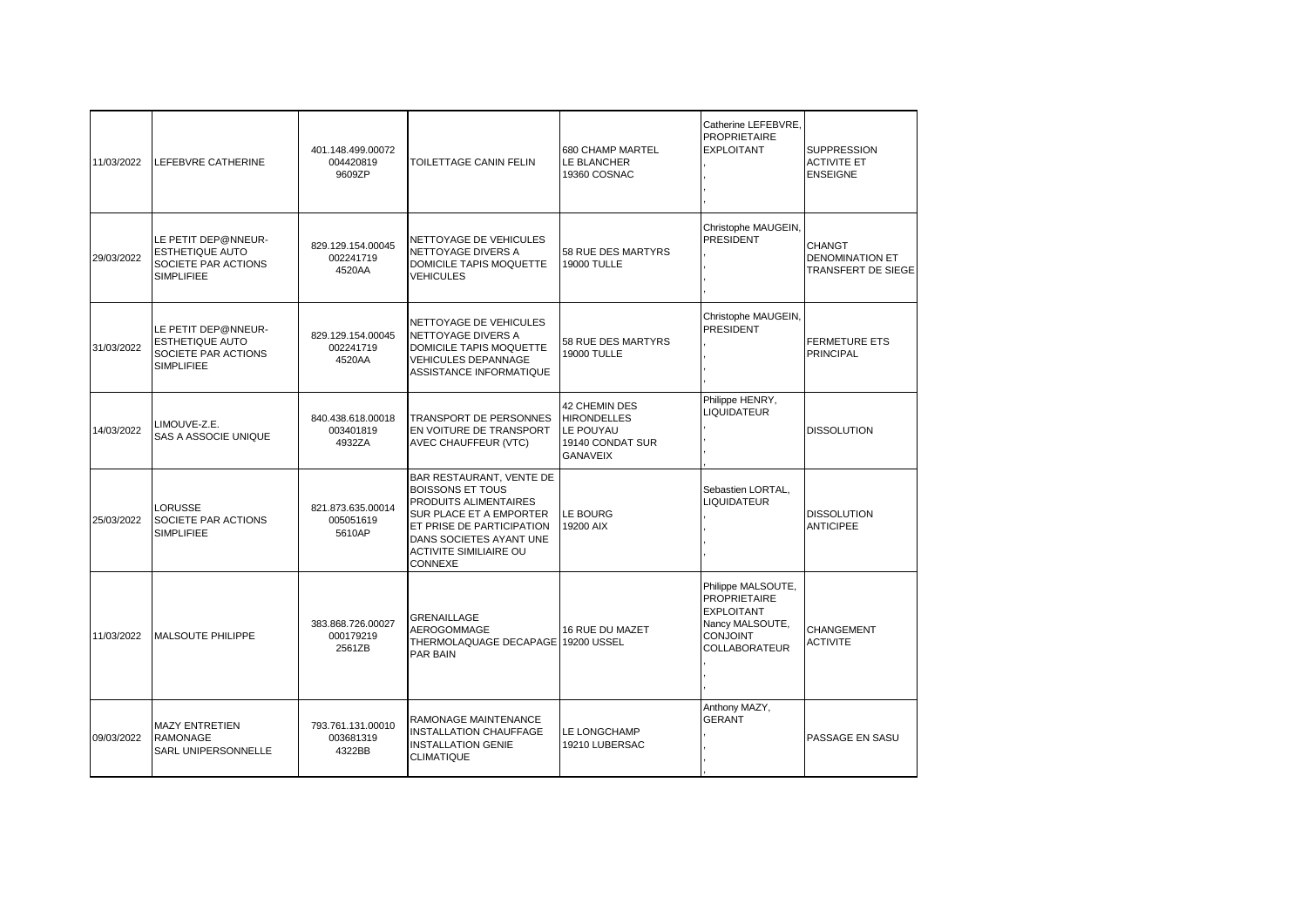| Catherine LEFEBVRE.<br><b>PROPRIETAIRE</b><br>680 CHAMP MARTEL<br><b>EXPLOITANT</b><br>401.148.499.00072<br>11/03/2022<br>LEFEBVRE CATHERINE<br>004420819<br>TOILETTAGE CANIN FELIN<br>LE BLANCHER<br>9609ZP<br>19360 COSNAC<br>Christophe MAUGEIN,<br>PRESIDENT<br>LE PETIT DEP@NNEUR-<br>NETTOYAGE DE VEHICULES<br>829.129.154.00045<br><b>ESTHETIQUE AUTO</b><br>NETTOYAGE DIVERS A<br>58 RUE DES MARTYRS<br>29/03/2022<br>002241719<br>SOCIETE PAR ACTIONS<br><b>DOMICILE TAPIS MOQUETTE</b><br><b>19000 TULLE</b><br>4520AA<br><b>SIMPLIFIEE</b><br><b>VEHICULES</b><br>Christophe MAUGEIN,<br>NETTOYAGE DE VEHICULES<br><b>PRESIDENT</b><br>LE PETIT DEP@NNEUR-<br>NETTOYAGE DIVERS A<br>829.129.154.00045<br><b>ESTHETIQUE AUTO</b><br>58 RUE DES MARTYRS<br>31/03/2022<br>002241719<br>DOMICILE TAPIS MOQUETTE<br>SOCIETE PAR ACTIONS<br><b>19000 TULLE</b><br>4520AA<br><b>VEHICULES DEPANNAGE</b><br><b>SIMPLIFIEE</b><br>ASSISTANCE INFORMATIQUE<br>Philippe HENRY,<br><b>42 CHEMIN DES</b><br>LIQUIDATEUR<br>TRANSPORT DE PERSONNES<br><b>HIRONDELLES</b><br>840.438.618.00018<br>LIMOUVE-Z.E.<br>14/03/2022<br>003401819<br>EN VOITURE DE TRANSPORT<br>LE POUYAU<br>SAS A ASSOCIE UNIQUE<br>4932ZA<br>AVEC CHAUFFEUR (VTC)<br>19140 CONDAT SUR<br><b>GANAVEIX</b><br>BAR RESTAURANT, VENTE DE<br><b>BOISSONS ET TOUS</b><br>Sebastien LORTAL.<br>PRODUITS ALIMENTAIRES<br><b>LIQUIDATEUR</b><br><b>LORUSSE</b><br>821.873.635.00014<br>SUR PLACE ET A EMPORTER<br><b>LE BOURG</b><br>25/03/2022<br>SOCIETE PAR ACTIONS<br>005051619<br>ET PRISE DE PARTICIPATION<br>19200 AIX<br><b>SIMPLIFIEE</b><br>5610AP<br>DANS SOCIETES AYANT UNE<br><b>ACTIVITE SIMILIAIRE OU</b><br>CONNEXE<br>Philippe MALSOUTE,<br><b>PROPRIETAIRE</b><br><b>EXPLOITANT</b><br><b>GRENAILLAGE</b><br>383.868.726.00027<br>Nancy MALSOUTE,<br>AEROGOMMAGE<br>16 RUE DU MAZET<br>11/03/2022<br>000179219<br><b>CONJOINT</b><br><b>MALSOUTE PHILIPPE</b><br>THERMOLAQUAGE DECAPAGE 19200 USSEL<br>2561ZB<br><b>COLLABORATEUR</b><br>PAR BAIN<br>Anthony MAZY,<br><b>GERANT</b><br>RAMONAGE MAINTENANCE<br><b>MAZY ENTRETIEN</b><br>793.761.131.00010 |  |                               |              |                                                                      |
|------------------------------------------------------------------------------------------------------------------------------------------------------------------------------------------------------------------------------------------------------------------------------------------------------------------------------------------------------------------------------------------------------------------------------------------------------------------------------------------------------------------------------------------------------------------------------------------------------------------------------------------------------------------------------------------------------------------------------------------------------------------------------------------------------------------------------------------------------------------------------------------------------------------------------------------------------------------------------------------------------------------------------------------------------------------------------------------------------------------------------------------------------------------------------------------------------------------------------------------------------------------------------------------------------------------------------------------------------------------------------------------------------------------------------------------------------------------------------------------------------------------------------------------------------------------------------------------------------------------------------------------------------------------------------------------------------------------------------------------------------------------------------------------------------------------------------------------------------------------------------------------------------------------------------------------------------------------------------------------------------------------------------------------------------------------------------------------------------------------------------------------|--|-------------------------------|--------------|----------------------------------------------------------------------|
|                                                                                                                                                                                                                                                                                                                                                                                                                                                                                                                                                                                                                                                                                                                                                                                                                                                                                                                                                                                                                                                                                                                                                                                                                                                                                                                                                                                                                                                                                                                                                                                                                                                                                                                                                                                                                                                                                                                                                                                                                                                                                                                                          |  |                               |              | <b>SUPPRESSION</b><br><b>ACTIVITE ET</b><br><b>ENSEIGNE</b>          |
|                                                                                                                                                                                                                                                                                                                                                                                                                                                                                                                                                                                                                                                                                                                                                                                                                                                                                                                                                                                                                                                                                                                                                                                                                                                                                                                                                                                                                                                                                                                                                                                                                                                                                                                                                                                                                                                                                                                                                                                                                                                                                                                                          |  |                               |              | <b>CHANGT</b><br><b>DENOMINATION ET</b><br><b>TRANSFERT DE SIEGE</b> |
|                                                                                                                                                                                                                                                                                                                                                                                                                                                                                                                                                                                                                                                                                                                                                                                                                                                                                                                                                                                                                                                                                                                                                                                                                                                                                                                                                                                                                                                                                                                                                                                                                                                                                                                                                                                                                                                                                                                                                                                                                                                                                                                                          |  |                               |              | <b>FERMETURE ETS</b><br><b>PRINCIPAL</b>                             |
|                                                                                                                                                                                                                                                                                                                                                                                                                                                                                                                                                                                                                                                                                                                                                                                                                                                                                                                                                                                                                                                                                                                                                                                                                                                                                                                                                                                                                                                                                                                                                                                                                                                                                                                                                                                                                                                                                                                                                                                                                                                                                                                                          |  |                               |              | <b>DISSOLUTION</b>                                                   |
|                                                                                                                                                                                                                                                                                                                                                                                                                                                                                                                                                                                                                                                                                                                                                                                                                                                                                                                                                                                                                                                                                                                                                                                                                                                                                                                                                                                                                                                                                                                                                                                                                                                                                                                                                                                                                                                                                                                                                                                                                                                                                                                                          |  |                               |              | <b>DISSOLUTION</b><br><b>ANTICIPEE</b>                               |
|                                                                                                                                                                                                                                                                                                                                                                                                                                                                                                                                                                                                                                                                                                                                                                                                                                                                                                                                                                                                                                                                                                                                                                                                                                                                                                                                                                                                                                                                                                                                                                                                                                                                                                                                                                                                                                                                                                                                                                                                                                                                                                                                          |  |                               |              | CHANGEMENT<br><b>ACTIVITE</b>                                        |
| <b>RAMONAGE</b><br>003681319<br>09/03/2022<br><b>INSTALLATION GENIE</b><br>19210 LUBERSAC<br>SARL UNIPERSONNELLE<br>4322BB<br>CLIMATIQUE                                                                                                                                                                                                                                                                                                                                                                                                                                                                                                                                                                                                                                                                                                                                                                                                                                                                                                                                                                                                                                                                                                                                                                                                                                                                                                                                                                                                                                                                                                                                                                                                                                                                                                                                                                                                                                                                                                                                                                                                 |  | <b>INSTALLATION CHAUFFAGE</b> | LE LONGCHAMP | PASSAGE EN SASU                                                      |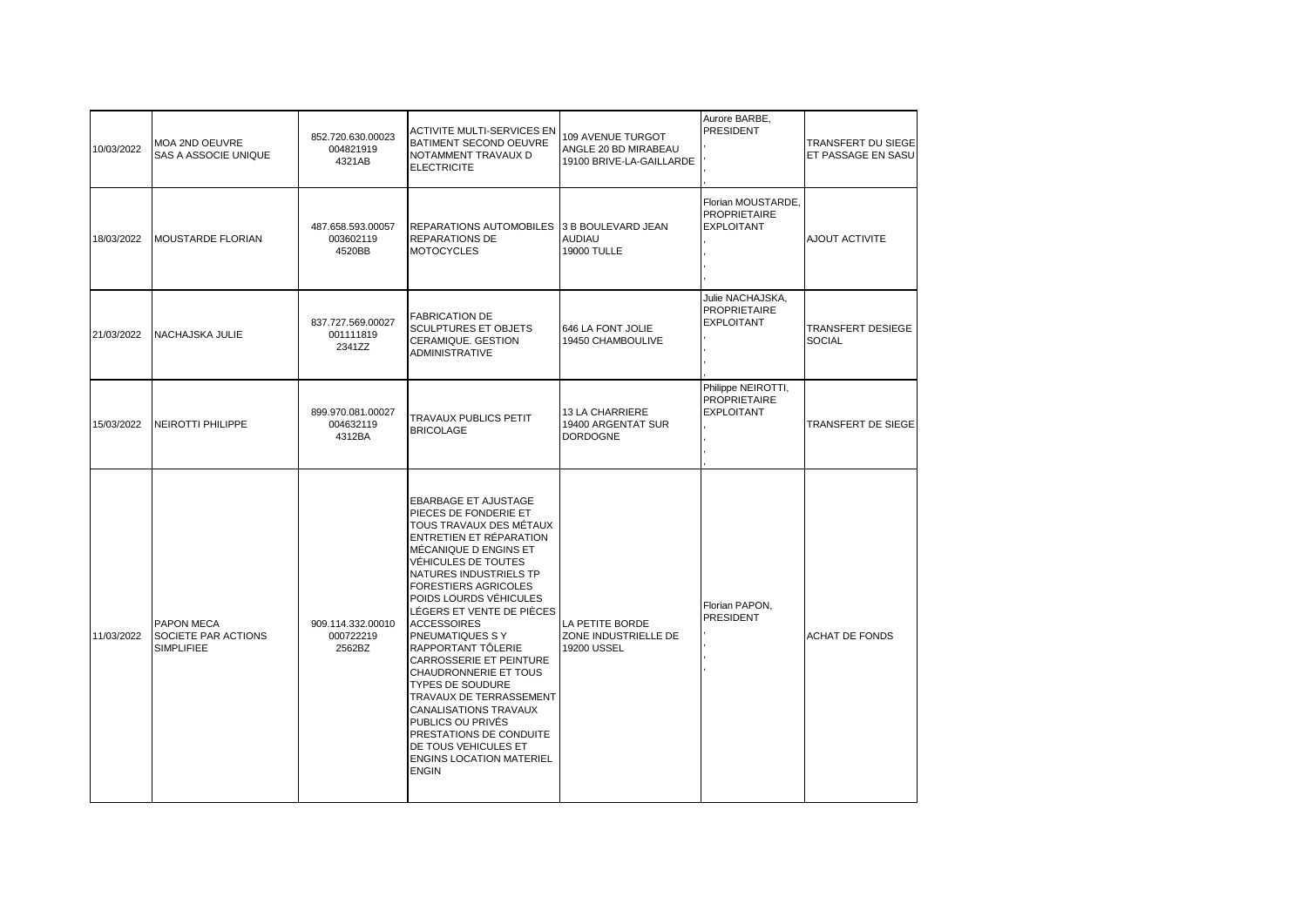| 10/03/2022 | <b>MOA 2ND OEUVRE</b><br>SAS A ASSOCIE UNIQUE   | 852.720.630.00023<br>004821919<br>4321AB | <b>ACTIVITE MULTI-SERVICES EN</b><br>BATIMENT SECOND OEUVRE<br>NOTAMMENT TRAVAUX D<br><b>ELECTRICITE</b>                                                                                                                                                                                                                                                                                                                                                                                                                                                                                                        | 109 AVENUE TURGOT<br>ANGLE 20 BD MIRABEAU<br>19100 BRIVE-LA-GAILLARDE | Aurore BARBE,<br><b>PRESIDENT</b>                              | TRANSFERT DU SIEGE<br>ET PASSAGE EN SASU |
|------------|-------------------------------------------------|------------------------------------------|-----------------------------------------------------------------------------------------------------------------------------------------------------------------------------------------------------------------------------------------------------------------------------------------------------------------------------------------------------------------------------------------------------------------------------------------------------------------------------------------------------------------------------------------------------------------------------------------------------------------|-----------------------------------------------------------------------|----------------------------------------------------------------|------------------------------------------|
| 18/03/2022 | MOUSTARDE FLORIAN                               | 487.658.593.00057<br>003602119<br>4520BB | REPARATIONS AUTOMOBILES<br><b>REPARATIONS DE</b><br><b>MOTOCYCLES</b>                                                                                                                                                                                                                                                                                                                                                                                                                                                                                                                                           | 3 B BOULEVARD JEAN<br><b>AUDIAU</b><br>19000 TULLE                    | Florian MOUSTARDE,<br><b>PROPRIETAIRE</b><br><b>EXPLOITANT</b> | AJOUT ACTIVITE                           |
| 21/03/2022 | NACHAJSKA JULIE                                 | 837.727.569.00027<br>001111819<br>2341ZZ | <b>FABRICATION DE</b><br><b>SCULPTURES ET OBJETS</b><br>CERAMIQUE. GESTION<br><b>ADMINISTRATIVE</b>                                                                                                                                                                                                                                                                                                                                                                                                                                                                                                             | 646 LA FONT JOLIE<br>19450 CHAMBOULIVE                                | Julie NACHAJSKA,<br><b>PROPRIETAIRE</b><br><b>EXPLOITANT</b>   | TRANSFERT DESIEGE<br><b>SOCIAL</b>       |
| 15/03/2022 | <b>NEIROTTI PHILIPPE</b>                        | 899.970.081.00027<br>004632119<br>4312BA | <b>TRAVAUX PUBLICS PETIT</b><br><b>BRICOLAGE</b>                                                                                                                                                                                                                                                                                                                                                                                                                                                                                                                                                                | 13 LA CHARRIERE<br>19400 ARGENTAT SUR<br><b>DORDOGNE</b>              | Philippe NEIROTTI,<br><b>PROPRIETAIRE</b><br><b>EXPLOITANT</b> | TRANSFERT DE SIEGE                       |
| 11/03/2022 | PAPON MECA<br>SOCIETE PAR ACTIONS<br>SIMPLIFIEE | 909.114.332.00010<br>000722219<br>2562BZ | <b>EBARBAGE ET AJUSTAGE</b><br>PIECES DE FONDERIE ET<br>TOUS TRAVAUX DES MÉTAUX<br>ENTRETIEN ET RÉPARATION<br>MÉCANIQUE D ENGINS ET<br>VÉHICULES DE TOUTES<br>NATURES INDUSTRIELS TP<br><b>FORESTIERS AGRICOLES</b><br>POIDS LOURDS VÉHICULES<br>LÉGERS ET VENTE DE PIÈCES<br><b>ACCESSOIRES</b><br>PNEUMATIQUES S Y<br>RAPPORTANT TÔLERIE<br>CARROSSERIE ET PEINTURE<br>CHAUDRONNERIE ET TOUS<br><b>TYPES DE SOUDURE</b><br>TRAVAUX DE TERRASSEMENT<br><b>CANALISATIONS TRAVAUX</b><br>PUBLICS OU PRIVÉS<br>PRESTATIONS DE CONDUITE<br>DE TOUS VEHICULES ET<br><b>ENGINS LOCATION MATERIEL</b><br><b>ENGIN</b> | LA PETITE BORDE<br>ZONE INDUSTRIELLE DE<br>19200 USSEL                | Florian PAPON,<br><b>PRESIDENT</b>                             | <b>ACHAT DE FONDS</b>                    |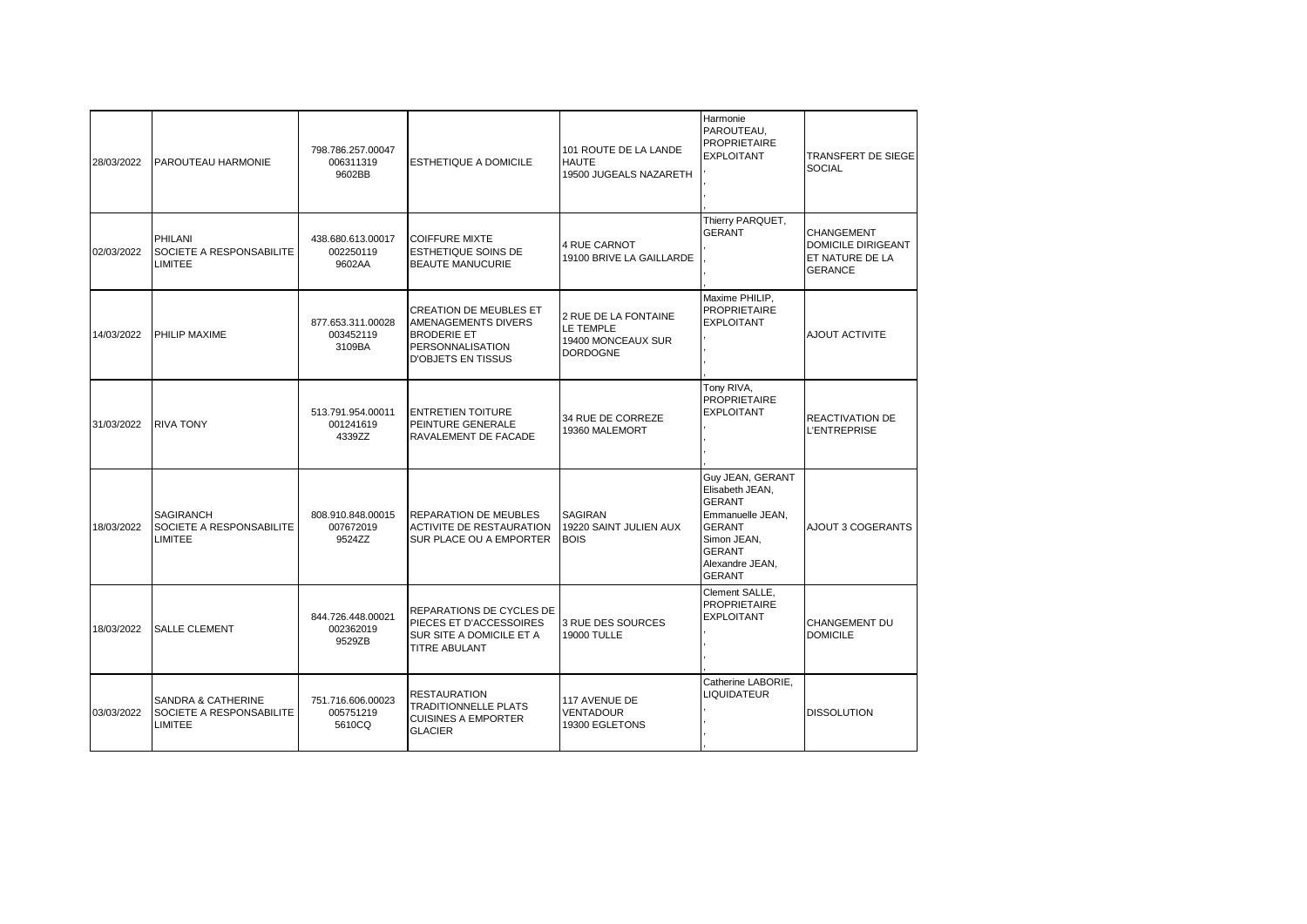| 28/03/2022 | PAROUTEAU HARMONIE                                                          | 798.786.257.00047<br>006311319<br>9602BB | <b>ESTHETIQUE A DOMICILE</b>                                                                                                       | 101 ROUTE DE LA LANDE<br><b>HAUTE</b><br>19500 JUGEALS NAZARETH            | Harmonie<br>PAROUTEAU.<br><b>PROPRIETAIRE</b><br><b>EXPLOITANT</b>                                                                                            | <b>TRANSFERT DE SIEGE</b><br><b>SOCIAL</b>                                          |
|------------|-----------------------------------------------------------------------------|------------------------------------------|------------------------------------------------------------------------------------------------------------------------------------|----------------------------------------------------------------------------|---------------------------------------------------------------------------------------------------------------------------------------------------------------|-------------------------------------------------------------------------------------|
| 02/03/2022 | PHILANI<br>SOCIETE A RESPONSABILITE<br>LIMITEE                              | 438.680.613.00017<br>002250119<br>9602AA | <b>COIFFURE MIXTE</b><br><b>ESTHETIQUE SOINS DE</b><br><b>BEAUTE MANUCURIE</b>                                                     | 4 RUE CARNOT<br>19100 BRIVE LA GAILLARDE                                   | Thierry PARQUET,<br><b>GERANT</b>                                                                                                                             | <b>CHANGEMENT</b><br><b>DOMICILE DIRIGEANT</b><br>ET NATURE DE LA<br><b>GERANCE</b> |
| 14/03/2022 | PHILIP MAXIME                                                               | 877.653.311.00028<br>003452119<br>3109BA | <b>CREATION DE MEUBLES ET</b><br>AMENAGEMENTS DIVERS<br><b>BRODERIE ET</b><br><b>PERSONNALISATION</b><br><b>D'OBJETS EN TISSUS</b> | 2 RUE DE LA FONTAINE<br>LE TEMPLE<br>19400 MONCEAUX SUR<br><b>DORDOGNE</b> | Maxime PHILIP,<br><b>PROPRIETAIRE</b><br><b>EXPLOITANT</b>                                                                                                    | AJOUT ACTIVITE                                                                      |
| 31/03/2022 | <b>RIVA TONY</b>                                                            | 513.791.954.00011<br>001241619<br>4339ZZ | <b>ENTRETIEN TOITURE</b><br>PEINTURE GENERALE<br>RAVALEMENT DE FACADE                                                              | 34 RUE DE CORREZE<br>19360 MALEMORT                                        | Tony RIVA,<br><b>PROPRIETAIRE</b><br><b>EXPLOITANT</b>                                                                                                        | <b>REACTIVATION DE</b><br><b>L'ENTREPRISE</b>                                       |
| 18/03/2022 | <b>SAGIRANCH</b><br>SOCIETE A RESPONSABILITE<br>LIMITEE                     | 808.910.848.00015<br>007672019<br>9524ZZ | <b>REPARATION DE MEUBLES</b><br>ACTIVITE DE RESTAURATION<br>SUR PLACE OU A EMPORTER                                                | <b>SAGIRAN</b><br>19220 SAINT JULIEN AUX<br><b>BOIS</b>                    | Guy JEAN, GERANT<br>Elisabeth JEAN,<br><b>GERANT</b><br>Emmanuelle JEAN.<br><b>GERANT</b><br>Simon JEAN,<br><b>GERANT</b><br>Alexandre JEAN,<br><b>GERANT</b> | AJOUT 3 COGERANTS                                                                   |
| 18/03/2022 | <b>SALLE CLEMENT</b>                                                        | 844.726.448.00021<br>002362019<br>9529ZB | REPARATIONS DE CYCLES DE<br>PIECES ET D'ACCESSOIRES<br>SUR SITE A DOMICILE ET A<br><b>TITRE ABULANT</b>                            | 3 RUE DES SOURCES<br><b>19000 TULLE</b>                                    | Clement SALLE.<br><b>PROPRIETAIRE</b><br><b>EXPLOITANT</b>                                                                                                    | CHANGEMENT DU<br><b>DOMICILE</b>                                                    |
| 03/03/2022 | <b>SANDRA &amp; CATHERINE</b><br>SOCIETE A RESPONSABILITE<br><b>LIMITEE</b> | 751.716.606.00023<br>005751219<br>5610CQ | <b>RESTAURATION</b><br><b>TRADITIONNELLE PLATS</b><br><b>CUISINES A EMPORTER</b><br><b>GLACIER</b>                                 | 117 AVENUE DE<br>VENTADOUR<br>19300 EGLETONS                               | Catherine LABORIE,<br>LIQUIDATEUR                                                                                                                             | <b>DISSOLUTION</b>                                                                  |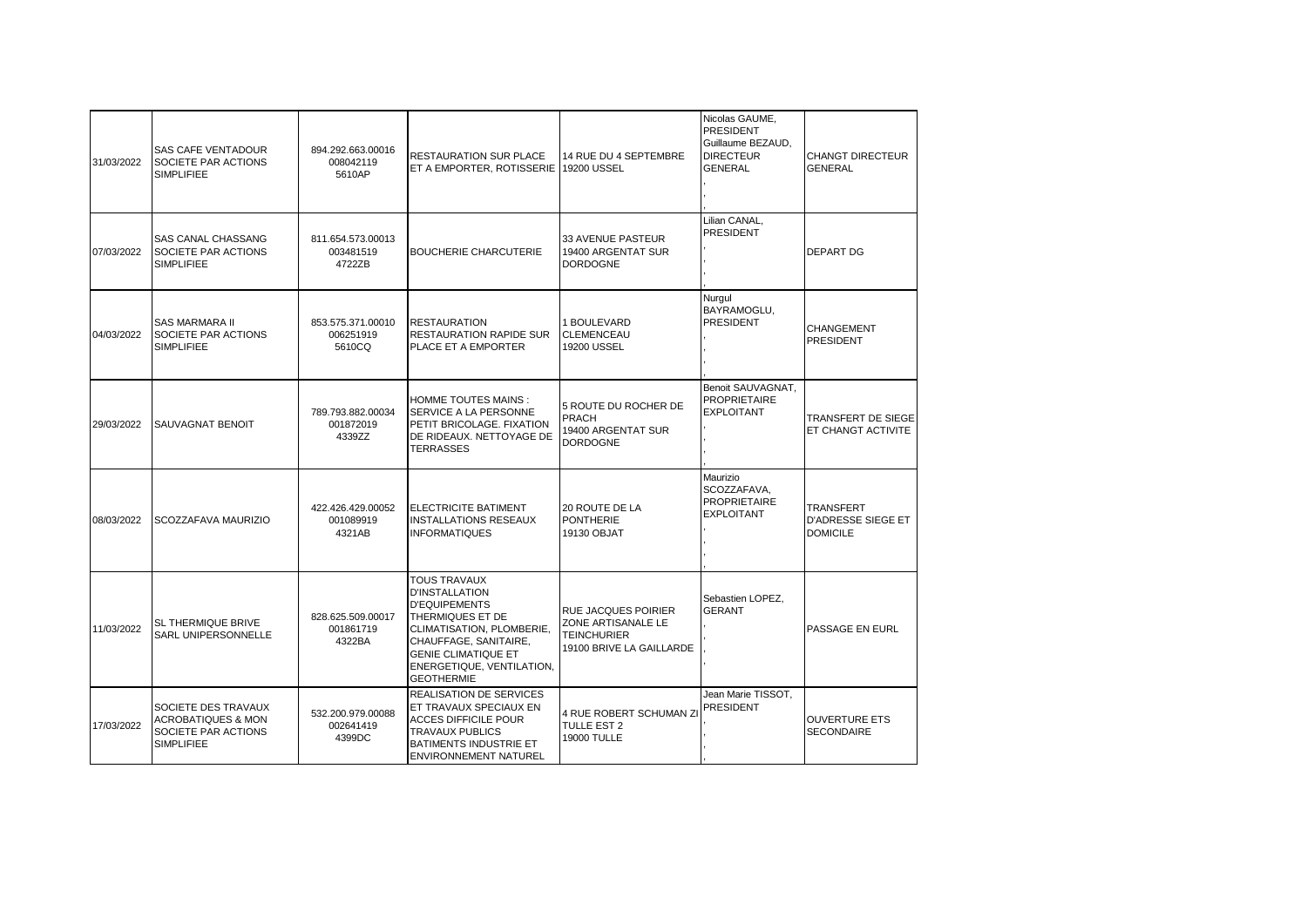| 31/03/2022 | <b>SAS CAFE VENTADOUR</b><br>SOCIETE PAR ACTIONS<br><b>SIMPLIFIEE</b>                            | 894.292.663.00016<br>008042119<br>5610AP | <b>RESTAURATION SUR PLACE</b><br>ET A EMPORTER, ROTISSERIE 19200 USSEL                                                                                                                                                         | 14 RUE DU 4 SEPTEMBRE                                                                              | Nicolas GAUME,<br><b>PRESIDENT</b><br>Guillaume BEZAUD.<br><b>DIRECTEUR</b><br><b>GENERAL</b> | <b>CHANGT DIRECTEUR</b><br><b>GENERAL</b>                        |
|------------|--------------------------------------------------------------------------------------------------|------------------------------------------|--------------------------------------------------------------------------------------------------------------------------------------------------------------------------------------------------------------------------------|----------------------------------------------------------------------------------------------------|-----------------------------------------------------------------------------------------------|------------------------------------------------------------------|
| 07/03/2022 | SAS CANAL CHASSANG<br>SOCIETE PAR ACTIONS<br><b>SIMPLIFIEE</b>                                   | 811.654.573.00013<br>003481519<br>4722ZB | <b>BOUCHERIE CHARCUTERIE</b>                                                                                                                                                                                                   | 33 AVENUE PASTEUR<br>19400 ARGENTAT SUR<br><b>DORDOGNE</b>                                         | Lilian CANAL,<br><b>PRESIDENT</b>                                                             | <b>DEPART DG</b>                                                 |
| 04/03/2022 | <b>SAS MARMARA II</b><br>SOCIETE PAR ACTIONS<br><b>SIMPLIFIEE</b>                                | 853.575.371.00010<br>006251919<br>5610CQ | <b>RESTAURATION</b><br><b>RESTAURATION RAPIDE SUR</b><br>PLACE ET A EMPORTER                                                                                                                                                   | 1 BOULEVARD<br>CLEMENCEAU<br>19200 USSEL                                                           | Nurgul<br>BAYRAMOGLU,<br><b>PRESIDENT</b>                                                     | <b>CHANGEMENT</b><br><b>PRESIDENT</b>                            |
| 29/03/2022 | SAUVAGNAT BENOIT                                                                                 | 789.793.882.00034<br>001872019<br>4339ZZ | HOMME TOUTES MAINS :<br>SERVICE A LA PERSONNE<br>PETIT BRICOLAGE. FIXATION<br>DE RIDEAUX. NETTOYAGE DE<br><b>TERRASSES</b>                                                                                                     | 5 ROUTE DU ROCHER DE<br><b>PRACH</b><br>19400 ARGENTAT SUR<br><b>DORDOGNE</b>                      | Benoit SAUVAGNAT,<br><b>PROPRIETAIRE</b><br><b>EXPLOITANT</b>                                 | TRANSFERT DE SIEGE<br>ET CHANGT ACTIVITE                         |
| 08/03/2022 | SCOZZAFAVA MAURIZIO                                                                              | 422.426.429.00052<br>001089919<br>4321AB | ELECTRICITE BATIMENT<br><b>INSTALLATIONS RESEAUX</b><br><b>INFORMATIQUES</b>                                                                                                                                                   | 20 ROUTE DE LA<br><b>PONTHERIE</b><br>19130 OBJAT                                                  | Maurizio<br>SCOZZAFAVA.<br><b>PROPRIETAIRE</b><br><b>EXPLOITANT</b>                           | <b>TRANSFERT</b><br><b>D'ADRESSE SIEGE ET</b><br><b>DOMICILE</b> |
| 11/03/2022 | SL THERMIQUE BRIVE<br>SARL UNIPERSONNELLE                                                        | 828.625.509.00017<br>001861719<br>4322BA | <b>TOUS TRAVAUX</b><br><b>D'INSTALLATION</b><br><b>D'EQUIPEMENTS</b><br>THERMIQUES ET DE<br>CLIMATISATION, PLOMBERIE,<br>CHAUFFAGE, SANITAIRE,<br><b>GENIE CLIMATIQUE ET</b><br>ENERGETIQUE, VENTILATION,<br><b>GEOTHERMIE</b> | <b>RUE JACQUES POIRIER</b><br>ZONE ARTISANALE LE<br><b>TEINCHURIER</b><br>19100 BRIVE LA GAILLARDE | Sebastien LOPEZ,<br><b>GERANT</b>                                                             | PASSAGE EN EURL                                                  |
| 17/03/2022 | SOCIETE DES TRAVAUX<br><b>ACROBATIQUES &amp; MON</b><br>SOCIETE PAR ACTIONS<br><b>SIMPLIFIEE</b> | 532.200.979.00088<br>002641419<br>4399DC | <b>REALISATION DE SERVICES</b><br>ET TRAVAUX SPECIAUX EN<br><b>ACCES DIFFICILE POUR</b><br><b>TRAVAUX PUBLICS</b><br>BATIMENTS INDUSTRIE ET<br><b>ENVIRONNEMENT NATUREL</b>                                                    | 4 RUE ROBERT SCHUMAN ZI<br>TULLE EST 2<br><b>19000 TULLE</b>                                       | Jean Marie TISSOT,<br><b>PRESIDENT</b>                                                        | <b>OUVERTURE ETS</b><br><b>SECONDAIRE</b>                        |